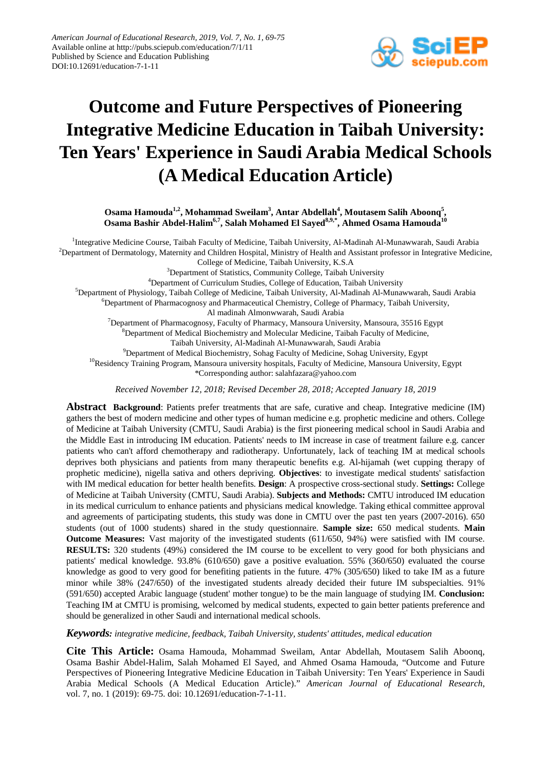

# **Outcome and Future Perspectives of Pioneering Integrative Medicine Education in Taibah University: Ten Years' Experience in Saudi Arabia Medical Schools (A Medical Education Article)**

Osama Hamouda<sup>1,2</sup>, Mohammad Sweilam<sup>3</sup>, Antar Abdellah<sup>4</sup>, Moutasem Salih Aboonq<sup>5</sup>, Osama Bashir Abdel-Halim<sup>6,7</sup>, Salah Mohamed El Sayed<sup>8,9,\*</sup>, Ahmed Osama Hamouda<sup>10</sup>

<sup>1</sup>Integrative Medicine Course, Taibah Faculty of Medicine, Taibah University, Al-Madinah Al-Munawwarah, Saudi Arabia  $^{2}$ Department of Dermatology, Maternity and Children Hospital, Ministry of Health and Assistant professor in Integrative Medicine, College of Medicine, Taibah University, K.S.A

<sup>3</sup>Department of Statistics, Community College, Taibah University

<sup>4</sup>Department of Curriculum Studies, College of Education, Taibah University

5 Department of Physiology, Taibah College of Medicine, Taibah University, Al-Madinah Al-Munawwarah, Saudi Arabia

6 Department of Pharmacognosy and Pharmaceutical Chemistry, College of Pharmacy, Taibah University,

Al madinah Almonwwarah, Saudi Arabia

<sup>7</sup>Department of Pharmacognosy, Faculty of Pharmacy, Mansoura University, Mansoura, 35516 Egypt

<sup>8</sup>Department of Medical Biochemistry and Molecular Medicine, Taibah Faculty of Medicine,

Taibah University, Al-Madinah Al-Munawwarah, Saudi Arabia

<sup>9</sup>Department of Medical Biochemistry, Sohag Faculty of Medicine, Sohag University, Egypt <sup>10</sup>Residency Training Program, Mansoura university hospitals, Faculty of Medicine, Mansoura University, Egypt

\*Corresponding author: salahfazara@yahoo.com

*Received November 12, 2018; Revised December 28, 2018; Accepted January 18, 2019*

**Abstract Background**: Patients prefer treatments that are safe, curative and cheap. Integrative medicine (IM) gathers the best of modern medicine and other types of human medicine e.g. prophetic medicine and others. College of Medicine at Taibah University (CMTU, Saudi Arabia) is the first pioneering medical school in Saudi Arabia and the Middle East in introducing IM education. Patients' needs to IM increase in case of treatment failure e.g. cancer patients who can't afford chemotherapy and radiotherapy. Unfortunately, lack of teaching IM at medical schools deprives both physicians and patients from many therapeutic benefits e.g. Al-hijamah (wet cupping therapy of prophetic medicine), nigella sativa and others depriving. **Objectives**: to investigate medical students' satisfaction with IM medical education for better health benefits. **Design**: A prospective cross-sectional study. **Settings:** College of Medicine at Taibah University (CMTU, Saudi Arabia). **Subjects and Methods:** CMTU introduced IM education in its medical curriculum to enhance patients and physicians medical knowledge. Taking ethical committee approval and agreements of participating students, this study was done in CMTU over the past ten years (2007-2016). 650 students (out of 1000 students) shared in the study questionnaire. **Sample size:** 650 medical students. **Main Outcome Measures:** Vast majority of the investigated students (611/650, 94%) were satisfied with IM course. **RESULTS:** 320 students (49%) considered the IM course to be excellent to very good for both physicians and patients' medical knowledge. 93.8% (610/650) gave a positive evaluation. 55% (360/650) evaluated the course knowledge as good to very good for benefiting patients in the future. 47% (305/650) liked to take IM as a future minor while 38% (247/650) of the investigated students already decided their future IM subspecialties. 91% (591/650) accepted Arabic language (student' mother tongue) to be the main language of studying IM. **Conclusion:**  Teaching IM at CMTU is promising, welcomed by medical students, expected to gain better patients preference and should be generalized in other Saudi and international medical schools.

*Keywords: integrative medicine, feedback, Taibah University, students' attitudes, medical education*

**Cite This Article:** Osama Hamouda, Mohammad Sweilam, Antar Abdellah, Moutasem Salih Aboonq, Osama Bashir Abdel-Halim, Salah Mohamed El Sayed, and Ahmed Osama Hamouda, "Outcome and Future Perspectives of Pioneering Integrative Medicine Education in Taibah University: Ten Years' Experience in Saudi Arabia Medical Schools (A Medical Education Article)." *American Journal of Educational Research*, vol. 7, no. 1 (2019): 69-75. doi: 10.12691/education-7-1-11.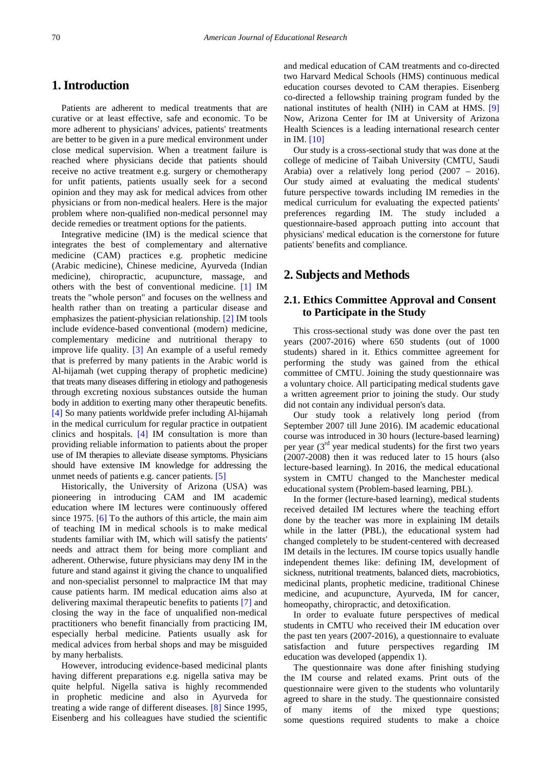# **1. Introduction**

Patients are adherent to medical treatments that are curative or at least effective, safe and economic. To be more adherent to physicians' advices, patients' treatments are better to be given in a pure medical environment under close medical supervision. When a treatment failure is reached where physicians decide that patients should receive no active treatment e.g. surgery or chemotherapy for unfit patients, patients usually seek for a second opinion and they may ask for medical advices from other physicians or from non-medical healers. Here is the major problem where non-qualified non-medical personnel may decide remedies or treatment options for the patients.

Integrative medicine (IM) is the medical science that integrates the best of complementary and alternative medicine (CAM) practices e.g. prophetic medicine (Arabic medicine), Chinese medicine, Ayurveda (Indian medicine), chiropractic, acupuncture, massage, and others with the best of conventional medicine. [\[1\]](#page-5-0) IM treats the "whole person" and focuses on the wellness and health rather than on treating a particular disease and emphasizes the [patient-physician relationship.](https://en.wikipedia.org/wiki/Doctor%E2%80%93patient_relationship) [\[2\]](#page-5-1) IM tools include evidence-based conventional (modern) medicine, complementary medicine and nutritional therapy to improve life quality. [\[3\]](#page-5-2) An example of a useful remedy that is preferred by many patients in the Arabic world is Al-hijamah (wet cupping therapy of prophetic medicine) that treats many diseases differing in etiology and pathogenesis through excreting noxious substances outside the human body in addition to exerting many other therapeutic benefits. [\[4\]](#page-5-3) So many patients worldwide prefer including Al-hijamah in the medical curriculum for regular practice in outpatient clinics and hospitals. [\[4\]](#page-5-3) IM consultation is more than providing reliable information to patients about the proper use of IM therapies to alleviate disease symptoms. Physicians should have extensive IM knowledge for addressing the unmet needs of patients e.g. cancer patients. [\[5\]](#page-5-4)

Historically, the University of Arizona (USA) was pioneering in introducing CAM and IM academic education where IM lectures were continuously offered since 1975. [\[6\]](#page-5-5) To the authors of this article, the main aim of teaching IM in medical schools is to make medical students familiar with IM, which will satisfy the patients' needs and attract them for being more compliant and adherent. Otherwise, future physicians may deny IM in the future and stand against it giving the chance to unqualified and non-specialist personnel to malpractice IM that may cause patients harm. IM medical education aims also at delivering maximal therapeutic benefits to patients [\[7\]](#page-5-6) and closing the way in the face of unqualified non-medical practitioners who benefit financially from practicing IM, especially herbal medicine. Patients usually ask for medical advices from herbal shops and may be misguided by many herbalists.

However, introducing evidence-based medicinal plants having different preparations e.g. nigella sativa may be quite helpful. Nigella sativa is highly recommended in prophetic medicine and also in Ayurveda for treating a wide range of different diseases. [\[8\]](#page-5-7) Since 1995, Eisenberg and his colleagues have studied the scientific

and medical education of CAM treatments and co-directed two Harvard Medical Schools (HMS) continuous medical education courses devoted to CAM therapies. Eisenberg co-directed a fellowship training program funded by the national institutes of health (NIH) in CAM at HMS. [\[9\]](#page-5-8) Now, Arizona Center for IM at University of Arizona Health Sciences is a leading international research center in IM. [\[10\]](#page-5-9)

Our study is a cross-sectional study that was done at the college of medicine of Taibah University (CMTU, Saudi Arabia) over a relatively long period (2007 – 2016). Our study aimed at evaluating the medical students' future perspective towards including IM remedies in the medical curriculum for evaluating the expected patients' preferences regarding IM. The study included a questionnaire-based approach putting into account that physicians' medical education is the cornerstone for future patients' benefits and compliance.

## **2. Subjects and Methods**

#### **2.1. Ethics Committee Approval and Consent to Participate in the Study**

This cross-sectional study was done over the past ten years (2007-2016) where 650 students (out of 1000 students) shared in it. Ethics committee agreement for performing the study was gained from the ethical committee of CMTU. Joining the study questionnaire was a voluntary choice. All participating medical students gave a written agreement prior to joining the study. Our study did not contain any individual person's data.

Our study took a relatively long period (from September 2007 till June 2016). IM academic educational course was introduced in 30 hours (lecture-based learning) per year  $(3<sup>rd</sup>$  year medical students) for the first two years (2007-2008) then it was reduced later to 15 hours (also lecture-based learning). In 2016, the medical educational system in CMTU changed to the Manchester medical educational system (Problem-based learning, PBL).

In the former (lecture-based learning), medical students received detailed IM lectures where the teaching effort done by the teacher was more in explaining IM details while in the latter (PBL), the educational system had changed completely to be student-centered with decreased IM details in the lectures. IM course topics usually handle independent themes like: defining IM, development of sickness, nutritional treatments, balanced diets, macrobiotics, medicinal plants, prophetic medicine, traditional Chinese medicine, and acupuncture, Ayurveda, IM for cancer, homeopathy, chiropractic, and detoxification.

In order to evaluate future perspectives of medical students in CMTU who received their IM education over the past ten years (2007-2016), a questionnaire to evaluate satisfaction and future perspectives regarding IM education was developed (appendix 1).

The questionnaire was done after finishing studying the IM course and related exams. Print outs of the questionnaire were given to the students who voluntarily agreed to share in the study. The questionnaire consisted of many items of the mixed type questions; some questions required students to make a choice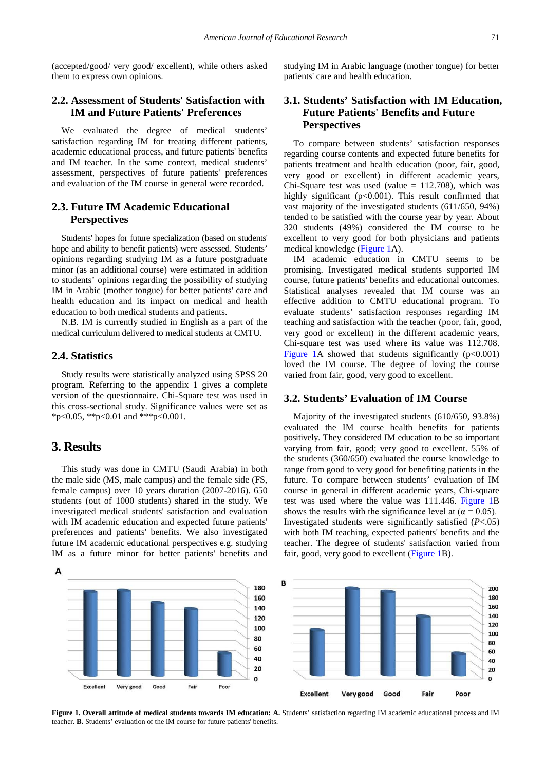(accepted/good/ very good/ excellent), while others asked them to express own opinions.

#### **2.2. Assessment of Students' Satisfaction with IM and Future Patients' Preferences**

We evaluated the degree of medical students' satisfaction regarding IM for treating different patients, academic educational process, and future patients' benefits and IM teacher. In the same context, medical students' assessment, perspectives of future patients' preferences and evaluation of the IM course in general were recorded.

#### **2.3. Future IM Academic Educational Perspectives**

Students' hopes for future specialization (based on students' hope and ability to benefit patients) were assessed. Students' opinions regarding studying IM as a future postgraduate minor (as an additional course) were estimated in addition to students' opinions regarding the possibility of studying IM in Arabic (mother tongue) for better patients' care and health education and its impact on medical and health education to both medical students and patients.

N.B. IM is currently studied in English as a part of the medical curriculum delivered to medical students at CMTU.

#### **2.4. Statistics**

Study results were statistically analyzed using SPSS 20 program. Referring to the appendix 1 gives a complete version of the questionnaire. Chi-Square test was used in this cross-sectional study. Significance values were set as \*p<0.05, \*\*p<0.01 and \*\*\*p<0.001.

#### **3. Results**

This study was done in CMTU (Saudi Arabia) in both the male side (MS, male campus) and the female side (FS, female campus) over 10 years duration (2007-2016). 650 students (out of 1000 students) shared in the study. We investigated medical students' satisfaction and evaluation with IM academic education and expected future patients' preferences and patients' benefits. We also investigated future IM academic educational perspectives e.g. studying IM as a future minor for better patients' benefits and

studying IM in Arabic language (mother tongue) for better patients' care and health education.

#### **3.1. Students' Satisfaction with IM Education, Future Patients' Benefits and Future Perspectives**

To compare between students' satisfaction responses regarding course contents and expected future benefits for patients treatment and health education (poor, fair, good, very good or excellent) in different academic years, Chi-Square test was used (value  $= 112.708$ ), which was highly significant (p<0.001). This result confirmed that vast majority of the investigated students (611/650, 94%) tended to be satisfied with the course year by year. About 320 students (49%) considered the IM course to be excellent to very good for both physicians and patients medical knowledge [\(Figure 1A](#page-2-0)).

IM academic education in CMTU seems to be promising. Investigated medical students supported IM course, future patients' benefits and educational outcomes. Statistical analyses revealed that IM course was an effective addition to CMTU educational program. To evaluate students' satisfaction responses regarding IM teaching and satisfaction with the teacher (poor, fair, good, very good or excellent) in the different academic years, Chi-square test was used where its value was 112.708. [Figure 1A](#page-2-0) showed that students significantly  $(p<0.001)$ loved the IM course. The degree of loving the course varied from fair, good, very good to excellent.

#### **3.2. Students' Evaluation of IM Course**

Majority of the investigated students (610/650, 93.8%) evaluated the IM course health benefits for patients positively. They considered IM education to be so important varying from fair, good; very good to excellent. 55% of the students (360/650) evaluated the course knowledge to range from good to very good for benefiting patients in the future. To compare between students' evaluation of IM course in general in different academic years, Chi-square test was used where the value was 111.446. [Figure 1B](#page-2-0) shows the results with the significance level at ( $\alpha$  = 0.05). Investigated students were significantly satisfied (*P*<.05) with both IM teaching, expected patients' benefits and the teacher. The degree of students' satisfaction varied from fair, good, very good to excellent [\(Figure 1B](#page-2-0)).

<span id="page-2-0"></span>

**Figure 1. Overall attitude of medical students towards IM education: A.** Students' satisfaction regarding IM academic educational process and IM teacher. **B.** Students' evaluation of the IM course for future patients' benefits.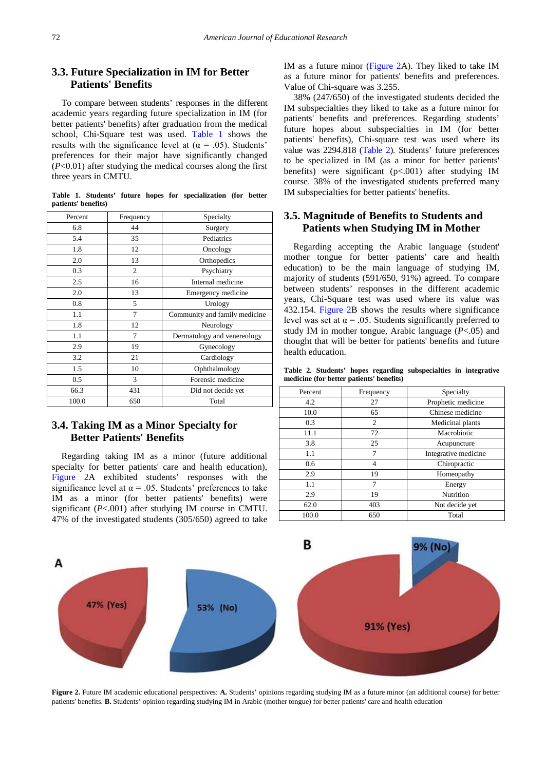#### **3.3. Future Specialization in IM for Better Patients' Benefits**

To compare between students' responses in the different academic years regarding future specialization in IM (for better patients' benefits) after graduation from the medical school, Chi-Square test was used. [Table 1](#page-3-0) shows the results with the significance level at ( $\alpha$  = .05). Students' preferences for their major have significantly changed (*P*<0.01) after studying the medical courses along the first three years in CMTU.

<span id="page-3-0"></span>**Table 1. Students' future hopes for specialization (for better patients' benefits)**

| Percent | Frequency | Specialty                     |  |  |  |
|---------|-----------|-------------------------------|--|--|--|
| 6.8     | 44        | Surgery                       |  |  |  |
| 5.4     | 35        | Pediatrics                    |  |  |  |
| 1.8     | 12        | Oncology                      |  |  |  |
| 2.0     | 13        | Orthopedics                   |  |  |  |
| 0.3     | 2         | Psychiatry                    |  |  |  |
| 2.5     | 16        | Internal medicine             |  |  |  |
| 2.0     | 13        | Emergency medicine            |  |  |  |
| 0.8     | 5         | Urology                       |  |  |  |
| 1.1     | 7         | Community and family medicine |  |  |  |
| 1.8     | 12        | Neurology                     |  |  |  |
| 1.1     | 7         | Dermatology and venereology   |  |  |  |
| 2.9     | 19        | Gynecology                    |  |  |  |
| 3.2     | 21        | Cardiology                    |  |  |  |
| 1.5     | 10        | Ophthalmology                 |  |  |  |
| 0.5     | 3         | Forensic medicine             |  |  |  |
| 66.3    | 431       | Did not decide yet            |  |  |  |
| 100.0   | 650       | Total                         |  |  |  |

#### **3.4. Taking IM as a Minor Specialty for Better Patients' Benefits**

Regarding taking IM as a minor (future additional specialty for better patients' care and health education), [Figure 2A](#page-3-1) exhibited students' responses with the significance level at  $\alpha$  = .05. Students' preferences to take IM as a minor (for better patients' benefits) were significant (*P*<.001) after studying IM course in CMTU. 47% of the investigated students (305/650) agreed to take IM as a future minor [\(Figure 2A](#page-3-1)). They liked to take IM as a future minor for patients' benefits and preferences. Value of Chi-square was 3.255.

38% (247/650) of the investigated students decided the IM subspecialties they liked to take as a future minor for patients' benefits and preferences. Regarding students' future hopes about subspecialties in IM (for better patients' benefits), Chi-square test was used where its value was 2294.818 [\(Table 2\)](#page-3-2). Students' future preferences to be specialized in IM (as a minor for better patients' benefits) were significant (p<.001) after studying IM course. 38% of the investigated students preferred many IM subspecialties for better patients' benefits.

#### **3.5. Magnitude of Benefits to Students and Patients when Studying IM in Mother**

Regarding accepting the Arabic language (student' mother tongue for better patients' care and health education) to be the main language of studying IM, majority of students (591/650, 91%) agreed. To compare between students' responses in the different academic years, Chi-Square test was used where its value was 432.154. [Figure 2B](#page-3-1) shows the results where significance level was set at  $\alpha$  = .05. Students significantly preferred to study IM in mother tongue, Arabic language (*P*<.05) and thought that will be better for patients' benefits and future health education.

<span id="page-3-2"></span>**Table 2. Students' hopes regarding subspecialties in integrative medicine (for better patients' benefits)**

| Percent | Frequency      | Specialty            |  |  |
|---------|----------------|----------------------|--|--|
| 4.2     | 27             | Prophetic medicine   |  |  |
| 10.0    | 65             | Chinese medicine     |  |  |
| 0.3     | 2              | Medicinal plants     |  |  |
| 11.1    | 72             | Macrobiotic          |  |  |
| 3.8     | 25             | Acupuncture          |  |  |
| 1.1     | 7              | Integrative medicine |  |  |
| 0.6     | 4              | Chiropractic         |  |  |
| 2.9     | 19             | Homeopathy           |  |  |
| 1.1     | $\overline{7}$ | Energy               |  |  |
| 2.9     | 19             | Nutrition            |  |  |
| 62.0    | 403            | Not decide yet       |  |  |
| 100.0   | 650            | Total                |  |  |

<span id="page-3-1"></span>

**Figure 2.** Future IM academic educational perspectives: **A.** Students' opinions regarding studying IM as a future minor (an additional course) for better patients' benefits. **B.** Students' opinion regarding studying IM in Arabic (mother tongue) for better patients' care and health education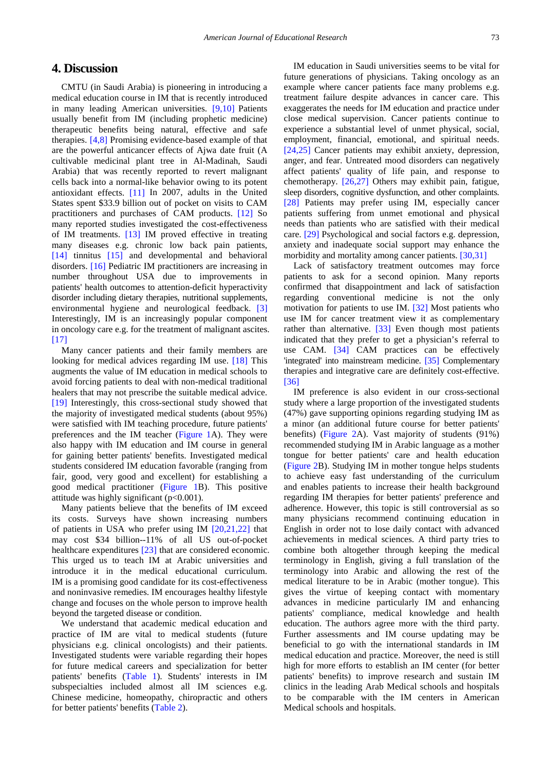## **4. Discussion**

CMTU (in Saudi Arabia) is pioneering in introducing a medical education course in IM that is recently introduced in many leading American universities. [\[9,10\]](#page-5-8) Patients usually benefit from IM (including prophetic medicine) therapeutic benefits being natural, effective and safe therapies. [\[4,8\]](#page-5-3) Promising evidence-based example of that are the powerful anticancer effects of Ajwa date fruit (A cultivable medicinal plant tree in Al-Madinah, Saudi Arabia) that was recently reported to revert malignant cells back into a normal-like behavior owing to its potent antioxidant effects. [\[11\]](#page-5-10) In 2007, adults in the United States spent \$33.9 billion out of pocket on visits to CAM practitioners and purchases of CAM products. [\[12\]](#page-5-11) So many reported studies investigated the cost-effectiveness of IM treatments. [\[13\]](#page-5-12) IM proved effective in treating many diseases e.g. chronic low back pain patients, [\[14\]](#page-5-13) tinnitus [\[15\]](#page-5-14) and developmental and behavioral disorders. [\[16\]](#page-5-15) Pediatric IM practitioners are increasing in number throughout USA due to improvements in patients' health outcomes to attention-deficit hyperactivity disorder including dietary therapies, nutritional supplements, environmental hygiene and neurological feedback. [\[3\]](#page-5-2) Interestingly, IM is an increasingly popular component in oncology care e.g. for the treatment of malignant ascites. [\[17\]](#page-5-16)

Many cancer patients and their family members are looking for medical advices regarding IM use. [\[18\]](#page-5-17) This augments the value of IM education in medical schools to avoid forcing patients to deal with non-medical traditional healers that may not prescribe the suitable medical advice. [\[19\]](#page-5-18) Interestingly, this cross-sectional study showed that the majority of investigated medical students (about 95%) were satisfied with IM teaching procedure, future patients' preferences and the IM teacher [\(Figure 1A](#page-2-0)). They were also happy with IM education and IM course in general for gaining better patients' benefits. Investigated medical students considered IM education favorable (ranging from fair, good, very good and excellent) for establishing a good medical practitioner [\(Figure 1B](#page-2-0)). This positive attitude was highly significant  $(p<0.001)$ .

Many patients believe that the benefits of IM exceed its costs. Surveys have shown increasing numbers of patients in USA who prefer using IM [\[20,21,22\]](#page-5-19) that may cost \$34 billion--11% of all US out-of-pocket healthcare expenditures [\[23\]](#page-5-20) that are considered economic. This urged us to teach IM at Arabic universities and introduce it in the medical educational curriculum. IM is a promising good candidate for its cost-effectiveness and noninvasive remedies. IM encourages healthy lifestyle change and focuses on the whole person to improve health beyond the targeted disease or condition.

We understand that academic medical education and practice of IM are vital to medical students (future physicians e.g. clinical oncologists) and their patients. Investigated students were variable regarding their hopes for future medical careers and specialization for better patients' benefits [\(Table 1\)](#page-3-0). Students' interests in IM subspecialties included almost all IM sciences e.g. Chinese medicine, homeopathy, chiropractic and others for better patients' benefits [\(Table 2\)](#page-3-2).

IM education in Saudi universities seems to be vital for future generations of physicians. Taking oncology as an example where cancer patients face many problems e.g. treatment failure despite advances in cancer care. This exaggerates the needs for IM education and practice under close medical supervision. Cancer patients continue to experience a substantial level of unmet physical, social, employment, financial, emotional, and spiritual needs. [\[24,25\]](#page-5-21) Cancer patients may exhibit anxiety, depression, anger, and fear. Untreated mood disorders can negatively affect patients' quality of life pain, and response to chemotherapy. [\[26,27\]](#page-5-22) Others may exhibit pain, fatigue, sleep disorders, cognitive dysfunction, and other complaints. [\[28\]](#page-5-23) Patients may prefer using IM, especially cancer patients suffering from unmet emotional and physical needs than patients who are satisfied with their medical care. [\[29\]](#page-5-24) Psychological and social factors e.g. depression, anxiety and inadequate social support may enhance the morbidity and mortality among cancer patients. [\[30,31\]](#page-5-25)

Lack of satisfactory treatment outcomes may force patients to ask for a second opinion. Many reports confirmed that disappointment and lack of satisfaction regarding conventional medicine is not the only motivation for patients to use IM. [\[32\]](#page-5-26) Most patients who use IM for cancer treatment view it as complementary rather than alternative. [\[33\]](#page-5-27) Even though most patients indicated that they prefer to get a physician's referral to use CAM. [\[34\]](#page-5-28) CAM practices can be effectively 'integrated' into mainstream medicine. [\[35\]](#page-6-0) Complementary therapies and integrative care are definitely cost-effective. [\[36\]](#page-6-1)

IM preference is also evident in our cross-sectional study where a large proportion of the investigated students (47%) gave supporting opinions regarding studying IM as a minor (an additional future course for better patients' benefits) [\(Figure 2A](#page-3-1)). Vast majority of students (91%) recommended studying IM in Arabic language as a mother tongue for better patients' care and health education [\(Figure 2B](#page-3-1)). Studying IM in mother tongue helps students to achieve easy fast understanding of the curriculum and enables patients to increase their health background regarding IM therapies for better patients' preference and adherence. However, this topic is still controversial as so many physicians recommend continuing education in English in order not to lose daily contact with advanced achievements in medical sciences. A third party tries to combine both altogether through keeping the medical terminology in English, giving a full translation of the terminology into Arabic and allowing the rest of the medical literature to be in Arabic (mother tongue). This gives the virtue of keeping contact with momentary advances in medicine particularly IM and enhancing patients' compliance, medical knowledge and health education. The authors agree more with the third party. Further assessments and IM course updating may be beneficial to go with the international standards in IM medical education and practice. Moreover, the need is still high for more efforts to establish an IM center (for better patients' benefits) to improve research and sustain IM clinics in the leading Arab Medical schools and hospitals to be comparable with the IM centers in American Medical schools and hospitals.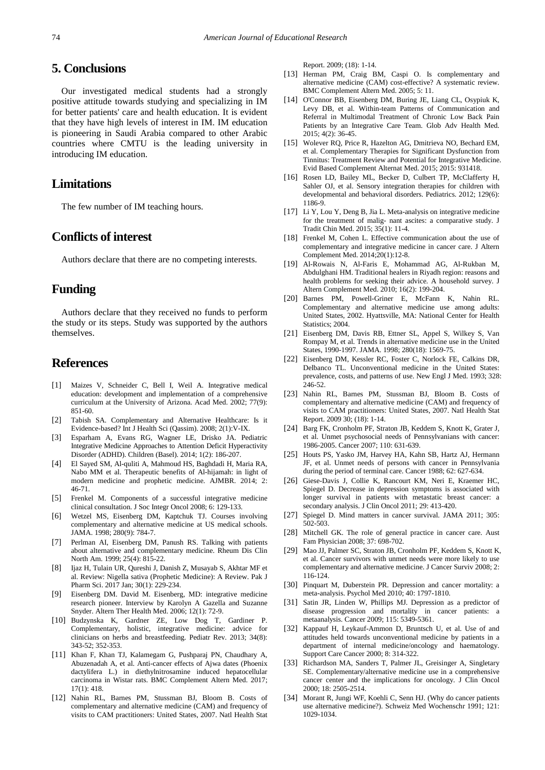## **5. Conclusions**

Our investigated medical students had a strongly positive attitude towards studying and specializing in IM for better patients' care and health education. It is evident that they have high levels of interest in IM. IM education is pioneering in Saudi Arabia compared to other Arabic countries where CMTU is the leading university in introducing IM education.

#### **Limitations**

The few number of IM teaching hours.

# **Conflicts of interest**

Authors declare that there are no competing interests.

#### **Funding**

Authors declare that they received no funds to perform the study or its steps. Study was supported by the authors themselves.

## **References**

- <span id="page-5-0"></span>[1] [Maizes V,](https://www.ncbi.nlm.nih.gov/pubmed/?term=Maizes%20V%5BAuthor%5D&cauthor=true&cauthor_uid=12228072) [Schneider C,](https://www.ncbi.nlm.nih.gov/pubmed/?term=Schneider%20C%5BAuthor%5D&cauthor=true&cauthor_uid=12228072) [Bell I,](https://www.ncbi.nlm.nih.gov/pubmed/?term=Bell%20I%5BAuthor%5D&cauthor=true&cauthor_uid=12228072) Weil A. Integrative medical education: development and implementation of a comprehensive curriculum at the University of Arizona. Acad Med. 2002; 77(9): 851-60.
- <span id="page-5-1"></span>[2] Tabish SA. Complementary and Alternative Healthcare: Is it Evidence-based? Int J Health Sci (Qassim). 2008; 2(1):V-IX.
- <span id="page-5-2"></span>[3] Esparham A, Evans RG, Wagner LE, Drisko JA. Pediatric Integrative Medicine Approaches to Attention Deficit Hyperactivity Disorder (ADHD). Children (Basel). 2014; 1(2): 186-207.
- <span id="page-5-3"></span>[4] El Sayed SM, Al-quliti A, Mahmoud HS, Baghdadi H, Maria RA, Nabo MM et al. Therapeutic benefits of Al-hijamah: in light of modern medicine and prophetic medicine. AJMBR. 2014; 2: 46-71.
- <span id="page-5-4"></span>[5] Frenkel M. Components of a successful integrative medicine clinical consultation. J Soc Integr Oncol 2008; 6: 129-133.
- <span id="page-5-5"></span>[6] Wetzel MS, Eisenberg DM, Kaptchuk TJ. Courses involving complementary and alternative medicine at US medical schools. JAMA. 1998; 280(9): 784-7.
- <span id="page-5-6"></span>[7] Perlman AI, Eisenberg DM, Panush RS. Talking with patients about alternative and complementary medicine. Rheum Dis Clin North Am. 1999; 25(4): 815-22.
- <span id="page-5-7"></span>[8] Ijaz H, Tulain UR, Qureshi J, Danish Z, Musayab S, Akhtar MF et al. Review: Nigella sativa (Prophetic Medicine): A Review. Pak J Pharm Sci. 2017 Jan; 30(1): 229-234.
- <span id="page-5-8"></span>[9] Eisenberg DM. David M. Eisenberg, MD: integrative medicine research pioneer. Interview by Karolyn A Gazella and Suzanne Snyder. Altern Ther Health Med. 2006; 12(1): 72-9.
- <span id="page-5-9"></span>[10] Budzynska K, Gardner ZE, Low Dog T, Gardiner P. Complementary, holistic, integrative medicine: advice for clinicians on herbs and breastfeeding. Pediatr Rev. 2013; 34(8): 343-52; 352-353.
- <span id="page-5-10"></span>[11] Khan F, Khan TJ, Kalamegam G, Pushparaj PN, Chaudhary A, Abuzenadah A, et al. Anti-cancer effects of Ajwa dates (Phoenix dactylifera L.) in diethylnitrosamine induced hepatocellular carcinoma in Wistar rats. BMC Complement Altern Med. 2017; 17(1): 418.
- <span id="page-5-11"></span>[12] Nahin RL, Barnes PM, Stussman BJ, Bloom B. Costs of complementary and alternative medicine (CAM) and frequency of visits to CAM practitioners: United States, 2007. Natl Health Stat

Report. 2009; (18): 1-14.

- <span id="page-5-12"></span>[13] Herman PM, Craig BM, Caspi O. Is complementary and alternative medicine (CAM) cost-effective? A systematic review. BMC Complement Altern Med. 2005; 5: 11.
- <span id="page-5-13"></span>[14] O'Connor BB, Eisenberg DM, Buring JE, Liang CL, Osypiuk K, Levy DB, et al. Within-team Patterns of Communication and Referral in Multimodal Treatment of Chronic Low Back Pain Patients by an Integrative Care Team. Glob Adv Health Med. 2015; 4(2): 36-45.
- <span id="page-5-14"></span>[15] Wolever RQ, Price R, Hazelton AG, Dmitrieva NO, Bechard EM, et al. Complementary Therapies for Significant Dysfunction from Tinnitus: Treatment Review and Potential for Integrative Medicine. Evid Based Complement Alternat Med. 2015; 2015: 931418.
- <span id="page-5-15"></span>[16] Rosen LD, Bailey ML, Becker D, Culbert TP, McClafferty H, Sahler OJ, et al. Sensory integration therapies for children with developmental and behavioral disorders. Pediatrics. 2012; 129(6): 1186-9.
- <span id="page-5-16"></span>[17] Li Y, Lou Y, Deng B, Jia L. Meta-analysis on integrative medicine for the treatment of malig- nant ascites: a comparative study. J Tradit Chin Med. 2015; 35(1): 11-4.
- <span id="page-5-17"></span>[18] Frenkel M, Cohen L. Effective communication about the use of complementary and integrative medicine in cancer care. J Altern Complement Med. 2014;20(1):12-8.
- <span id="page-5-18"></span>[19] Al-Rowais N, Al-Faris E, Mohammad AG, Al-Rukban M, Abdulghani HM. Traditional healers in Riyadh region: reasons and health problems for seeking their advice. A household survey. J Altern Complement Med. 2010; 16(2): 199-204.
- <span id="page-5-19"></span>[20] Barnes PM, Powell-Griner E, McFann K, Nahin RL. Complementary and alternative medicine use among adults: United States, 2002. Hyattsville, MA: National Center for Health Statistics; 2004.
- [21] Eisenberg DM, Davis RB, Ettner SL, Appel S, Wilkey S, Van Rompay M, et al. Trends in alternative medicine use in the United States, 1990-1997. JAMA. 1998; 280(18): 1569-75.
- [22] Eisenberg DM, Kessler RC, Foster C, Norlock FE, Calkins DR, Delbanco TL. Unconventional medicine in the United States: prevalence, costs, and patterns of use. New Engl J Med. 1993; 328: 246-52.
- <span id="page-5-20"></span>[23] Nahin RL, Barnes PM, Stussman BJ, Bloom B. Costs of complementary and alternative medicine (CAM) and frequency of visits to CAM practitioners: United States, 2007. Natl Health Stat Report. 2009 30; (18): 1-14.
- <span id="page-5-21"></span>[24] Barg FK, Cronholm PF, Straton JB, Keddem S, Knott K, Grater J, et al. Unmet psychosocial needs of Pennsylvanians with cancer: 1986-2005. Cancer 2007; 110: 631-639.
- [25] Houts PS, Yasko JM, Harvey HA, Kahn SB, Hartz AJ, Hermann JF, et al. Unmet needs of persons with cancer in Pennsylvania during the period of terminal care. Cancer 1988; 62: 627-634.
- <span id="page-5-22"></span>[26] Giese-Davis J, Collie K, Rancourt KM, Neri E, Kraemer HC, Spiegel D. Decrease in depression symptoms is associated with longer survival in patients with metastatic breast cancer: a secondary analysis. J Clin Oncol 2011; 29: 413-420.
- [27] Spiegel D. Mind matters in cancer survival. JAMA 2011; 305: 502-503.
- <span id="page-5-23"></span>[28] Mitchell GK. The role of general practice in cancer care. Aust Fam Physician 2008; 37: 698-702.
- <span id="page-5-24"></span>[29] Mao JJ, Palmer SC, Straton JB, Cronholm PF, Keddem S, Knott K, et al. Cancer survivors with unmet needs were more likely to use complementary and alternative medicine. J Cancer Surviv 2008; 2: 116-124.
- <span id="page-5-25"></span>[30] Pinquart M, Duberstein PR. Depression and cancer mortality: a meta-analysis. Psychol Med 2010; 40: 1797-1810.
- [31] Satin JR, Linden W, Phillips MJ. Depression as a predictor of disease progression and mortality in cancer patients: a metaanalysis. Cancer 2009; 115: 5349-5361.
- <span id="page-5-26"></span>[32] Kappauf H, Leykauf-Ammon D, Bruntsch U, et al. Use of and attitudes held towards unconventional medicine by patients in a department of internal medicine/oncology and haematology. Support Care Cancer 2000; 8: 314-322.
- <span id="page-5-27"></span>[33] Richardson MA, Sanders T, Palmer JL, Greisinger A, Singletary SE. Complementary/alternative medicine use in a comprehensive cancer center and the implications for oncology. J Clin Oncol 2000; 18: 2505-2514.
- <span id="page-5-28"></span>[34] Morant R, Jungi WF, Koehli C, Senn HJ. (Why do cancer patients use alternative medicine?). Schweiz Med Wochenschr 1991; 121: 1029-1034.